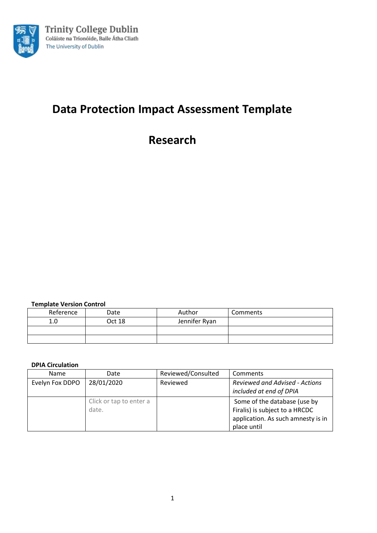

# **Data Protection Impact Assessment Template**

**Research**

**Template Version Control**

| Reference | Date   | Author        | Comments |
|-----------|--------|---------------|----------|
| 1.0       | Oct 18 | Jennifer Ryan |          |
|           |        |               |          |
|           |        |               |          |

## **DPIA Circulation**

| <b>Name</b>     | Date                    | Reviewed/Consulted | Comments                              |
|-----------------|-------------------------|--------------------|---------------------------------------|
| Evelyn Fox DDPO | 28/01/2020              | Reviewed           | <b>Reviewed and Advised - Actions</b> |
|                 |                         |                    | included at end of DPIA               |
|                 | Click or tap to enter a |                    | Some of the database (use by          |
|                 | date.                   |                    | Firalis) is subject to a HRCDC        |
|                 |                         |                    | application. As such amnesty is in    |
|                 |                         |                    | place until                           |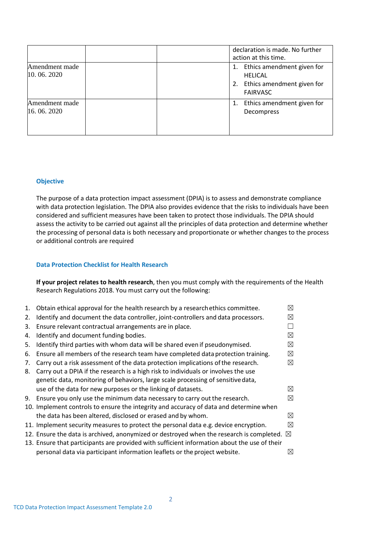|                              |  |          | declaration is made. No further<br>action at this time.                                       |
|------------------------------|--|----------|-----------------------------------------------------------------------------------------------|
| Amendment made<br>10.06.2020 |  | 1.<br>2. | Ethics amendment given for<br><b>HELICAL</b><br>Ethics amendment given for<br><b>FAIRVASC</b> |
| Amendment made<br>16.06.2020 |  |          | Ethics amendment given for<br>Decompress                                                      |

## **Objective**

The purpose of a data protection impact assessment (DPIA) is to assess and demonstrate compliance with data protection legislation. The DPIA also provides evidence that the risks to individuals have been considered and sufficient measures have been taken to protect those individuals. The DPIA should assess the activity to be carried out against all the principles of data protection and determine whether the processing of personal data is both necessary and proportionate or whether changes to the process or additional controls are required

## **Data Protection Checklist for Health Research**

**If your project relates to health research**, then you must comply with the requirements of the Health Research Regulations 2018. You must carry out the following:

|    | 1. Obtain ethical approval for the health research by a research ethics committee.                   | ⊠           |
|----|------------------------------------------------------------------------------------------------------|-------------|
| 2. | Identify and document the data controller, joint-controllers and data processors.                    | ⊠           |
| 3. | Ensure relevant contractual arrangements are in place.                                               |             |
| 4. | Identify and document funding bodies.                                                                | ⊠           |
| 5. | Identify third parties with whom data will be shared even if pseudonymised.                          | ⊠           |
| 6. | Ensure all members of the research team have completed data protection training.                     | ⊠           |
| 7. | Carry out a risk assessment of the data protection implications of the research.                     | ⊠           |
| 8. | Carry out a DPIA if the research is a high risk to individuals or involves the use                   |             |
|    | genetic data, monitoring of behaviors, large scale processing of sensitive data,                     |             |
|    | use of the data for new purposes or the linking of datasets.                                         | $\boxtimes$ |
| 9. | Ensure you only use the minimum data necessary to carry out the research.                            | ⊠           |
|    | 10. Implement controls to ensure the integrity and accuracy of data and determine when               |             |
|    | the data has been altered, disclosed or erased and by whom.                                          | ⊠           |
|    | 11. Implement security measures to protect the personal data e.g. device encryption.                 | ⊠           |
|    | 12. Ensure the data is archived, anonymized or destroyed when the research is completed. $\boxtimes$ |             |
|    | 13. Ensure that participants are provided with sufficient information about the use of their         |             |
|    | personal data via participant information leaflets or the project website.                           | ⊠           |
|    |                                                                                                      |             |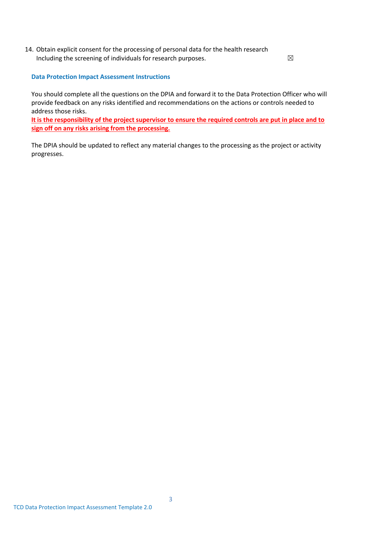14. Obtain explicit consent for the processing of personal data for the health research Including the screening of individuals for research purposes.  $\boxtimes$ 

**Data Protection Impact Assessment Instructions**

You should complete all the questions on the DPIA and forward it to the Data Protection Officer who will provide feedback on any risks identified and recommendations on the actions or controls needed to address those risks.

**It is the responsibility of the project supervisor to ensure the required controls are put in place and to sign off on any risks arising from the processing.**

The DPIA should be updated to reflect any material changes to the processing as the project or activity progresses.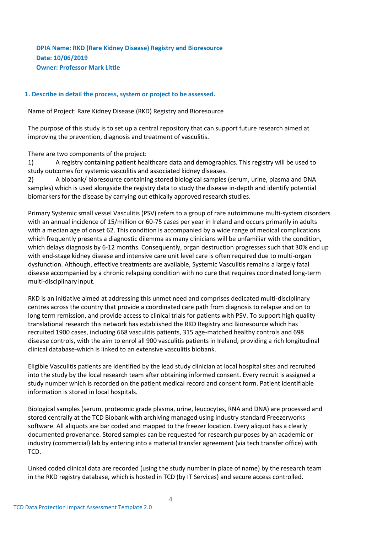**DPIA Name: RKD (Rare Kidney Disease) Registry and Bioresource Date: 10/06/2019 Owner: Professor Mark Little**

## **1. Describe in detail the process, system or project to be assessed.**

Name of Project: Rare Kidney Disease (RKD) Registry and Bioresource

The purpose of this study is to set up a central repository that can support future research aimed at improving the prevention, diagnosis and treatment of vasculitis.

There are two components of the project:

1) A registry containing patient healthcare data and demographics. This registry will be used to study outcomes for systemic vasculitis and associated kidney diseases.

2) A biobank/ bioresource containing stored biological samples (serum, urine, plasma and DNA samples) which is used alongside the registry data to study the disease in-depth and identify potential biomarkers for the disease by carrying out ethically approved research studies.

Primary Systemic small vessel Vasculitis (PSV) refers to a group of rare autoimmune multi-system disorders with an annual incidence of 15/million or 60-75 cases per year in Ireland and occurs primarily in adults with a median age of onset 62. This condition is accompanied by a wide range of medical complications which frequently presents a diagnostic dilemma as many clinicians will be unfamiliar with the condition, which delays diagnosis by 6-12 months. Consequently, organ destruction progresses such that 30% end up with end-stage kidney disease and intensive care unit level care is often required due to multi-organ dysfunction. Although, effective treatments are available, Systemic Vasculitis remains a largely fatal disease accompanied by a chronic relapsing condition with no cure that requires coordinated long-term multi-disciplinary input.

RKD is an initiative aimed at addressing this unmet need and comprises dedicated multi-disciplinary centres across the country that provide a coordinated care path from diagnosis to relapse and on to long term remission, and provide access to clinical trials for patients with PSV. To support high quality translational research this network has established the RKD Registry and Bioresource which has recruited 1900 cases, including 668 vasculitis patients, 315 age-matched healthy controls and 698 disease controls, with the aim to enrol all 900 vasculitis patients in Ireland, providing a rich longitudinal clinical database-which is linked to an extensive vasculitis biobank.

Eligible Vasculitis patients are identified by the lead study clinician at local hospital sites and recruited into the study by the local research team after obtaining informed consent. Every recruit is assigned a study number which is recorded on the patient medical record and consent form. Patient identifiable information is stored in local hospitals.

Biological samples (serum, proteomic grade plasma, urine, leucocytes, RNA and DNA) are processed and stored centrally at the TCD Biobank with archiving managed using industry standard Freezerworks software. All aliquots are bar coded and mapped to the freezer location. Every aliquot has a clearly documented provenance. Stored samples can be requested for research purposes by an academic or industry (commercial) lab by entering into a material transfer agreement (via tech transfer office) with TCD.

Linked coded clinical data are recorded (using the study number in place of name) by the research team in the RKD registry database, which is hosted in TCD (by IT Services) and secure access controlled.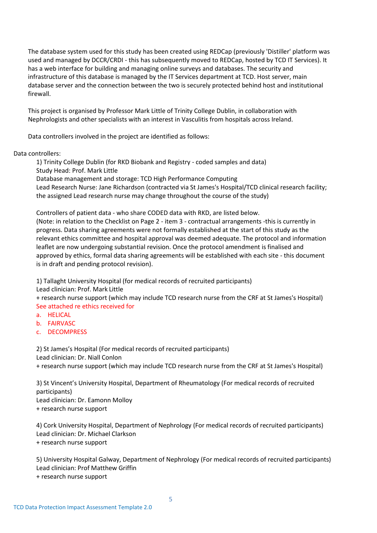The database system used for this study has been created using REDCap (previously 'Distiller' platform was used and managed by DCCR/CRDI - this has subsequently moved to REDCap, hosted by TCD IT Services). It has a web interface for building and managing online surveys and databases. The security and infrastructure of this database is managed by the IT Services department at TCD. Host server, main database server and the connection between the two is securely protected behind host and institutional firewall.

This project is organised by Professor Mark Little of Trinity College Dublin, in collaboration with Nephrologists and other specialists with an interest in Vasculitis from hospitals across Ireland.

Data controllers involved in the project are identified as follows:

## Data controllers:

1) Trinity College Dublin (for RKD Biobank and Registry - coded samples and data) Study Head: Prof. Mark Little Database management and storage: TCD High Performance Computing

Lead Research Nurse: Jane Richardson (contracted via St James's Hospital/TCD clinical research facility; the assigned Lead research nurse may change throughout the course of the study)

Controllers of patient data - who share CODED data with RKD, are listed below.

(Note: in relation to the Checklist on Page 2 - item 3 - contractual arrangements -this is currently in progress. Data sharing agreements were not formally established at the start of this study as the relevant ethics committee and hospital approval was deemed adequate. The protocol and information leaflet are now undergoing substantial revision. Once the protocol amendment is finalised and approved by ethics, formal data sharing agreements will be established with each site - this document is in draft and pending protocol revision).

1) Tallaght University Hospital (for medical records of recruited participants)

Lead clinician: Prof. Mark Little

+ research nurse support (which may include TCD research nurse from the CRF at St James's Hospital) See attached re ethics received for

- a. HELICAL
- b. FAIRVASC
- c. DECOMPRESS

2) St James's Hospital (For medical records of recruited participants) Lead clinician: Dr. Niall Conlon + research nurse support (which may include TCD research nurse from the CRF at St James's Hospital)

3) St Vincent's University Hospital, Department of Rheumatology (For medical records of recruited participants) Lead clinician: Dr. Eamonn Molloy + research nurse support

4) Cork University Hospital[, Department of Nephrology \(](http://www.cuh.hse.ie/Our-Services/Our-Specialities-A-Z-/Nephrology-Renal-Medicine/Our-Services/Vasculitis-Service/)For medical records of recruited participants) Lead clinician: Dr. Michael Clarkson + research nurse support

5) University Hospital Galway, Department of Nephrology (For medical records of recruited participants) Lead clinician: Prof Matthew Griffin

+ research nurse support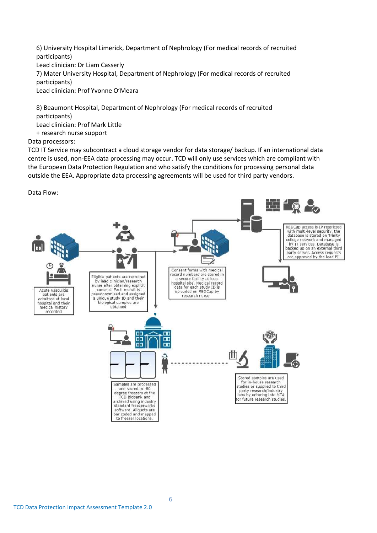6) University Hospital Limerick, Department of Nephrology (For medical records of recruited participants) Lead clinician: Dr Liam Casserly 7) Mater University Hospital, Department of Nephrology (For medical records of recruited participants) Lead clinician: Prof Yvonne O'Meara

8) Beaumont Hospital, Department of Nephrology (For medical records of recruited participants) Lead clinician: Prof Mark Little + research nurse support

Data processors:

TCD IT Service may subcontract a cloud storage vendor for data storage/ backup. If an international data centre is used, non-EEA data processing may occur. TCD will only use services which are compliant with the European Data Protection Regulation and who satisfy the conditions for processing personal data outside the EEA. Appropriate data processing agreements will be used for third party vendors.

Data Flow:

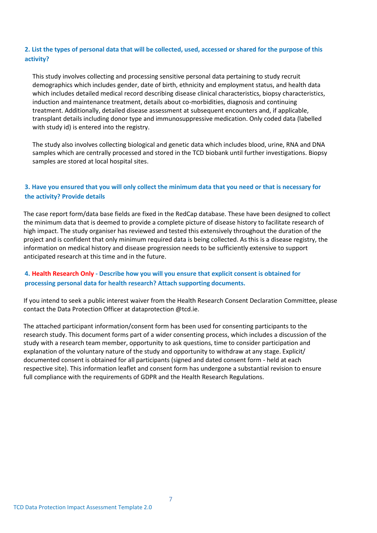## **2. List the types of personal data that will be collected, used, accessed or shared for the purpose of this activity?**

This study involves collecting and processing sensitive personal data pertaining to study recruit demographics which includes gender, date of birth, ethnicity and employment status, and health data which includes detailed medical record describing disease clinical characteristics, biopsy characteristics, induction and maintenance treatment, details about co-morbidities, diagnosis and continuing treatment. Additionally, detailed disease assessment at subsequent encounters and, if applicable, transplant details including donor type and immunosuppressive medication. Only coded data (labelled with study id) is entered into the registry.

The study also involves collecting biological and genetic data which includes blood, urine, RNA and DNA samples which are centrally processed and stored in the TCD biobank until further investigations. Biopsy samples are stored at local hospital sites.

## **3. Have you ensured that you will only collect the minimum data that you need or that is necessary for the activity? Provide details**

The case report form/data base fields are fixed in the RedCap database. These have been designed to collect the minimum data that is deemed to provide a complete picture of disease history to facilitate research of high impact. The study organiser has reviewed and tested this extensively throughout the duration of the project and is confident that only minimum required data is being collected. As this is a disease registry, the information on medical history and disease progression needs to be sufficiently extensive to support anticipated research at this time and in the future.

## **4. Health Research Only - Describe how you will you ensure that explicit consent is obtained for processing personal data for health research? Attach supporting documents.**

If you intend to seek a public interest waiver from the Health Research Consent Declaration Committee, please contact the Data Protection Officer at dataprotection @tcd.ie.

The attached participant information/consent form has been used for consenting participants to the research study. This document forms part of a wider consenting process, which includes a discussion of the study with a research team member, opportunity to ask questions, time to consider participation and explanation of the voluntary nature of the study and opportunity to withdraw at any stage. Explicit/ documented consent is obtained for all participants (signed and dated consent form - held at each respective site). This information leaflet and consent form has undergone a substantial revision to ensure full compliance with the requirements of GDPR and the Health Research Regulations.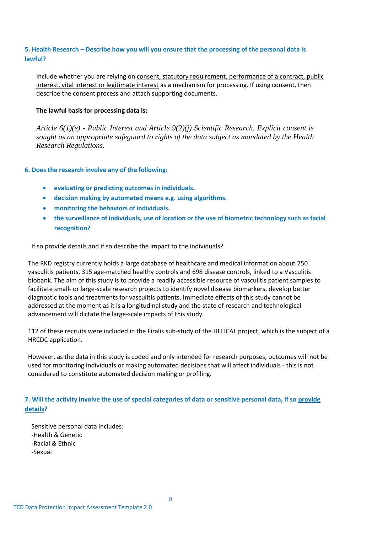## **5. Health Research – Describe how you will you ensure that the processing of the personal data is lawful?**

Include whether you are relying on consent, statutory requirement, performance of a contract, public interest, vital interest or legitimate interest as a mechanism for processing. If using consent, then describe the consent process and attach supporting documents.

#### **The lawful basis for processing data is:**

*Article 6(1)(e) - Public Interest and Article 9(2)(j) Scientific Research. Explicit consent is sought as an appropriate safeguard to rights of the data subject as mandated by the Health Research Regulations.*

## **6. Does the research involve any of the following:**

- **evaluating or predicting outcomes in individuals.**
- **decision making by automated means e.g. using algorithms.**
- **monitoring the behaviors of individuals.**
- **the surveillance of individuals, use of location or the use of biometric technology such as facial recognition?**

If so provide details and if so describe the impact to the individuals?

The RKD registry currently holds a large database of healthcare and medical information about 750 vasculitis patients, 315 age-matched healthy controls and 698 disease controls, linked to a Vasculitis biobank. The aim of this study is to provide a readily accessible resource of vasculitis patient samples to facilitate small- or large-scale research projects to identify novel disease biomarkers, develop better diagnostic tools and treatments for vasculitis patients. Immediate effects of this study cannot be addressed at the moment as it is a longitudinal study and the state of research and technological advancement will dictate the large-scale impacts of this study.

112 of these recruits were included in the Firalis sub-study of the HELICAL project, which is the subject of a HRCDC application.

However, as the data in this study is coded and only intended for research purposes, outcomes will not be used for monitoring individuals or making automated decisions that will affect individuals - this is not considered to constitute automated decision making or profiling.

**7. Will the activity involve the use of special categories of data or sensitive personal data, if so provide details?**

Sensitive personal data includes: -Health & Genetic -Racial & Ethnic -Sexual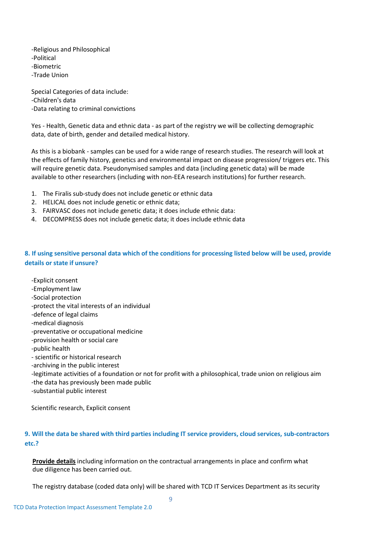-Religious and Philosophical -Political -Biometric -Trade Union

Special Categories of data include: -Children's data -Data relating to criminal convictions

Yes - Health, Genetic data and ethnic data - as part of the registry we will be collecting demographic data, date of birth, gender and detailed medical history.

As this is a biobank - samples can be used for a wide range of research studies. The research will look at the effects of family history, genetics and environmental impact on disease progression/ triggers etc. This will require genetic data. Pseudonymised samples and data (including genetic data) will be made available to other researchers (including with non-EEA research institutions) for further research.

- 1. The Firalis sub-study does not include genetic or ethnic data
- 2. HELICAL does not include genetic or ethnic data;
- 3. FAIRVASC does not include genetic data; it does include ethnic data:
- 4. DECOMPRESS does not include genetic data; it does include ethnic data

## **8. If using sensitive personal data which of the conditions for processing listed below will be used, provide details or state if unsure?**

-Explicit consent -Employment law -Social protection -protect the vital interests of an individual -defence of legal claims -medical diagnosis -preventative or occupational medicine -provision health or social care -public health - scientific or historical research -archiving in the public interest -legitimate activities of a foundation or not for profit with a philosophical, trade union on religious aim -the data has previously been made public -substantial public interest

Scientific research, Explicit consent

## **9. Will the data be shared with third parties including IT service providers, cloud services, sub-contractors etc.?**

**Provide details** including information on the contractual arrangements in place and confirm what due diligence has been carried out.

The registry database (coded data only) will be shared with TCD IT Services Department as its security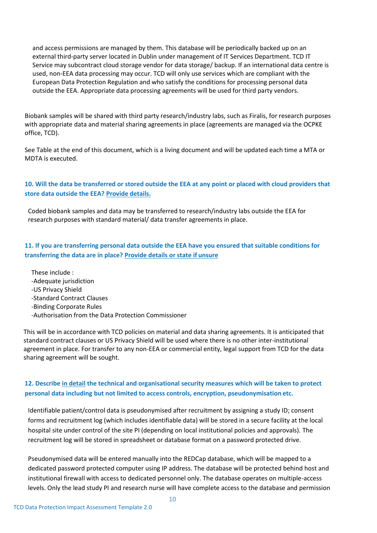and access permissions are managed by them. This database will be periodically backed up on an external third-party server located in Dublin under management of IT Services Department. TCD IT Service may subcontract cloud storage vendor for data storage/ backup. If an international data centre is used, non-EEA data processing may occur. TCD will only use services which are compliant with the European Data Protection Regulation and who satisfy the conditions for processing personal data outside the EEA. Appropriate data processing agreements will be used for third party vendors.

Biobank samples will be shared with third party research/industry labs, such as Firalis, for research purposes with appropriate data and material sharing agreements in place (agreements are managed via the OCPKE office, TCD).

See Table at the end of this document, which is a living document and will be updated each time a MTA or MDTA is executed.

## **10. Will the data be transferred or stored outside the EEA at any point or placed with cloud providers that store data outside the EEA? Provide details.**

Coded biobank samples and data may be transferred to research/industry labs outside the EEA for research purposes with standard material/ data transfer agreements in place.

**11. If you are transferring personal data outside the EEA have you ensured that suitable conditions for transferring the data are in place? Provide details or state if unsure**

These include : -Adequate jurisdiction -US Privacy Shield -Standard Contract Clauses -Binding Corporate Rules -Authorisation from the Data Protection Commissioner

This will be in accordance with TCD policies on material and data sharing agreements. It is anticipated that standard contract clauses or US Privacy Shield will be used where there is no other inter-institutional agreement in place. For transfer to any non-EEA or commercial entity, legal support from TCD for the data sharing agreement will be sought.

## **12. Describe in detail the technical and organisational security measures which will be taken to protect personal data including but not limited to access controls, encryption, pseudonymisation etc.**

Identifiable patient/control data is pseudonymised after recruitment by assigning a study ID; consent forms and recruitment log (which includes identifiable data) will be stored in a secure facility at the local hospital site under control of the site PI (depending on local institutional policies and approvals). The recruitment log will be stored in spreadsheet or database format on a password protected drive.

Pseudonymised data will be entered manually into the REDCap database, which will be mapped to a dedicated password protected computer using IP address. The database will be protected behind host and institutional firewall with access to dedicated personnel only. The database operates on multiple-access levels. Only the lead study PI and research nurse will have complete access to the database and permission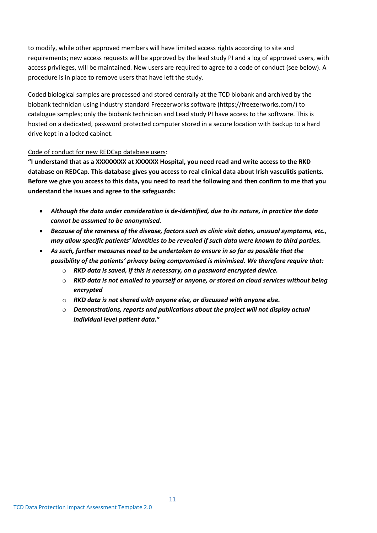to modify, while other approved members will have limited access rights according to site and requirements; new access requests will be approved by the lead study PI and a log of approved users, with access privileges, will be maintained. New users are required to agree to a code of conduct (see below). A procedure is in place to remove users that have left the study.

Coded biological samples are processed and stored centrally at the TCD biobank and archived by the biobank technician using industry standard Freezerworks software (https://freezerworks.com/) to catalogue samples; only the biobank technician and Lead study PI have access to the software. This is hosted on a dedicated, password protected computer stored in a secure location with backup to a hard drive kept in a locked cabinet.

## Code of conduct for new REDCap database users:

**"I understand that as a XXXXXXXX at XXXXXX Hospital, you need read and write access to the RKD database on REDCap. This database gives you access to real clinical data about Irish vasculitis patients. Before we give you access to this data, you need to read the following and then confirm to me that you understand the issues and agree to the safeguards:**

- *Although the data under consideration is de-identified, due to its nature, in practice the data cannot be assumed to be anonymised.*
- *Because of the rareness of the disease, factors such as clinic visit dates, unusual symptoms, etc., may allow specific patients' identities to be revealed if such data were known to third parties.*
- *As such, further measures need to be undertaken to ensure in so far as possible that the possibility of the patients' privacy being compromised is minimised. We therefore require that:*
	- o *RKD data is saved, if this is necessary, on a password encrypted device.*
	- o *RKD data is not emailed to yourself or anyone, or stored on cloud services without being encrypted*
	- o *RKD data is not shared with anyone else, or discussed with anyone else.*
	- o *Demonstrations, reports and publications about the project will not display actual individual level patient data.***"**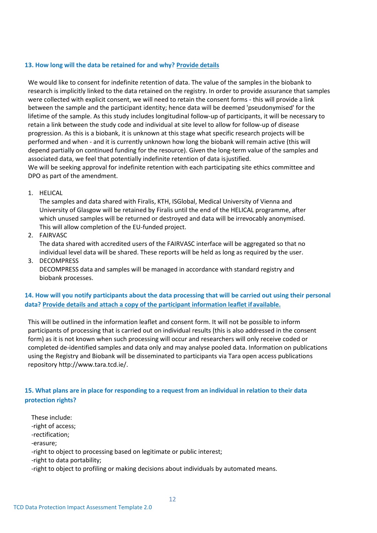## **13. How long will the data be retained for and why? Provide details**

We would like to consent for indefinite retention of data. The value of the samples in the biobank to research is implicitly linked to the data retained on the registry. In order to provide assurance that samples were collected with explicit consent, we will need to retain the consent forms - this will provide a link between the sample and the participant identity; hence data will be deemed 'pseudonymised' for the lifetime of the sample. As this study includes longitudinal follow-up of participants, it will be necessary to retain a link between the study code and individual at site level to allow for follow-up of disease progression. As this is a biobank, it is unknown at this stage what specific research projects will be performed and when - and it is currently unknown how long the biobank will remain active (this will depend partially on continued funding for the resource). Given the long-term value of the samples and associated data, we feel that potentially indefinite retention of data isjustified.

We will be seeking approval for indefinite retention with each participating site ethics committee and DPO as part of the amendment.

#### 1. HELICAL

The samples and data shared with Firalis, KTH, ISGlobal, Medical University of Vienna and University of Glasgow will be retained by Firalis until the end of the HELICAL programme, after which unused samples will be returned or destroyed and data will be irrevocably anonymised. This will allow completion of the EU-funded project.

## 2. FAIRVASC

The data shared with accredited users of the FAIRVASC interface will be aggregated so that no individual level data will be shared. These reports will be held as long as required by the user.

3. DECOMPRESS

DECOMPRESS data and samples will be managed in accordance with standard registry and biobank processes.

**14. How will you notify participants about the data processing that will be carried out using their personal data? Provide details and attach a copy of the participant information leaflet ifavailable.**

This will be outlined in the information leaflet and consent form. It will not be possible to inform participants of processing that is carried out on individual results (this is also addressed in the consent form) as it is not known when such processing will occur and researchers will only receive coded or completed de-identified samples and data only and may analyse pooled data. Information on publications using the Registry and Biobank will be disseminated to participants via Tara open access publications repository [http://www.tara.tcd.ie/.](http://www.tara.tcd.ie/)

## **15. What plans are in place for responding to a request from an individual in relation to their data protection rights?**

These include: -right of access; -rectification; -erasure; -right to object to processing based on legitimate or public interest; -right to data portability; -right to object to profiling or making decisions about individuals by automated means.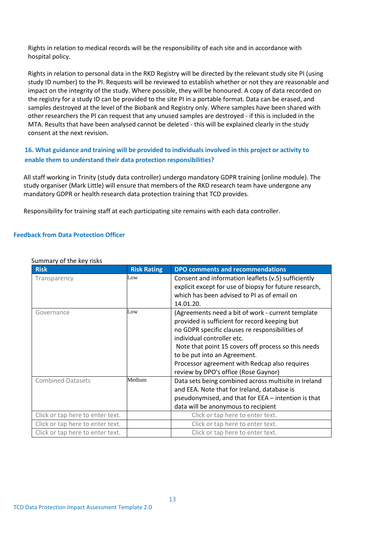Rights in relation to medical records will be the responsibility of each site and in accordance with hospital policy.

Rights in relation to personal data in the RKD Registry will be directed by the relevant study site PI (using study ID number) to the PI. Requests will be reviewed to establish whether or not they are reasonable and impact on the integrity of the study. Where possible, they will be honoured. A copy of data recorded on the registry for a study ID can be provided to the site PI in a portable format. Data can be erased, and samples destroyed at the level of the Biobank and Registry only. Where samples have been shared with other researchers the PI can request that any unused samples are destroyed - if this is included in the MTA. Results that have been analysed cannot be deleted - this will be explained clearly in the study consent at the next revision.

## **16. What guidance and training will be provided to individuals involved in this project or activity to enable them to understand their data protection responsibilities?**

All staff working in Trinity (study data controller) undergo mandatory GDPR training (online module). The study organiser (Mark Little) will ensure that members of the RKD research team have undergone any mandatory GDPR or health research data protection training that TCD provides.

Responsibility for training staff at each participating site remains with each data controller.

## **Feedback from Data Protection Officer**

| <b>Risk</b>                      | <b>Risk Rating</b> | <b>DPO comments and recommendations</b>                                                                                                                                                                                                                                                                                                                             |
|----------------------------------|--------------------|---------------------------------------------------------------------------------------------------------------------------------------------------------------------------------------------------------------------------------------------------------------------------------------------------------------------------------------------------------------------|
| Transparency                     | Low                | Consent and information leaflets (v.5) sufficiently<br>explicit except for use of biopsy for future research,<br>which has been advised to PI as of email on<br>14.01.20.                                                                                                                                                                                           |
| Governance                       | Low                | (Agreements need a bit of work - current template<br>provided is sufficient for record keeping but<br>no GDPR specific clauses re responsibilities of<br>individual controller etc.<br>Note that point 15 covers off process so this needs<br>to be put into an Agreement.<br>Processor agreement with Redcap also requires<br>review by DPO's office (Rose Gaynor) |
| <b>Combined Datasets</b>         | Medium             | Data sets being combined across multisite in Ireland<br>and EEA. Note that for Ireland, database is<br>pseudonymised, and that for EEA - intention is that<br>data will be anonymous to recipient                                                                                                                                                                   |
| Click or tap here to enter text. |                    | Click or tap here to enter text.                                                                                                                                                                                                                                                                                                                                    |
| Click or tap here to enter text. |                    | Click or tap here to enter text.                                                                                                                                                                                                                                                                                                                                    |
| Click or tap here to enter text. |                    | Click or tap here to enter text.                                                                                                                                                                                                                                                                                                                                    |

#### Summary of the key risks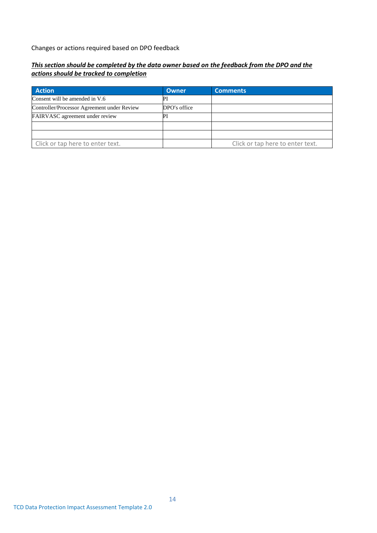Changes or actions required based on DPO feedback

## *This section should be completed by the data owner based on the feedback from the DPO and the actions should be tracked to completion*

| <b>Action</b>                               | Owner        | <b>Comments</b>                  |
|---------------------------------------------|--------------|----------------------------------|
| Consent will be amended in V.6              |              |                                  |
| Controller/Processor Agreement under Review | DPO's office |                                  |
| <b>FAIRVASC</b> agreement under review      | P            |                                  |
|                                             |              |                                  |
|                                             |              |                                  |
| Click or tap here to enter text.            |              | Click or tap here to enter text. |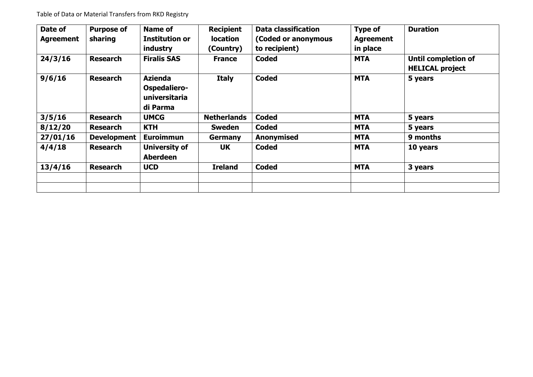| Date of          | <b>Purpose of</b>  | <b>Name of</b>                                              | <b>Recipient</b>   | <b>Data classification</b> | <b>Type of</b>   | <b>Duration</b>                                      |
|------------------|--------------------|-------------------------------------------------------------|--------------------|----------------------------|------------------|------------------------------------------------------|
| <b>Agreement</b> | sharing            | <b>Institution or</b>                                       | <b>location</b>    | (Coded or anonymous        | <b>Agreement</b> |                                                      |
|                  |                    | industry                                                    | (Country)          | to recipient)              | in place         |                                                      |
| 24/3/16          | <b>Research</b>    | <b>Firalis SAS</b>                                          | <b>France</b>      | <b>Coded</b>               | <b>MTA</b>       | <b>Until completion of</b><br><b>HELICAL project</b> |
| 9/6/16           | <b>Research</b>    | <b>Azienda</b><br>Ospedaliero-<br>universitaria<br>di Parma | <b>Italy</b>       | <b>Coded</b>               | <b>MTA</b>       | 5 years                                              |
| 3/5/16           | <b>Research</b>    | <b>UMCG</b>                                                 | <b>Netherlands</b> | <b>Coded</b>               | <b>MTA</b>       | 5 years                                              |
| 8/12/20          | <b>Research</b>    | <b>KTH</b>                                                  | <b>Sweden</b>      | <b>Coded</b>               | <b>MTA</b>       | 5 years                                              |
| 27/01/16         | <b>Development</b> | <b>Euroimmun</b>                                            | <b>Germany</b>     | Anonymised                 | <b>MTA</b>       | 9 months                                             |
| 4/4/18           | <b>Research</b>    | University of<br><b>Aberdeen</b>                            | <b>UK</b>          | <b>Coded</b>               | <b>MTA</b>       | 10 years                                             |
| 13/4/16          | <b>Research</b>    | <b>UCD</b>                                                  | <b>Ireland</b>     | <b>Coded</b>               | <b>MTA</b>       | 3 years                                              |
|                  |                    |                                                             |                    |                            |                  |                                                      |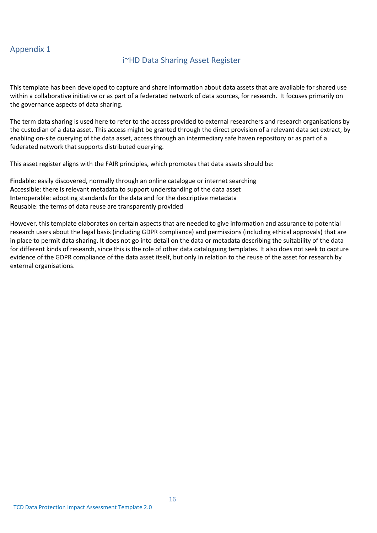# Appendix 1

## i~HD Data Sharing Asset Register

This template has been developed to capture and share information about data assets that are available for shared use within a collaborative initiative or as part of a federated network of data sources, for research. It focuses primarily on the governance aspects of data sharing.

The term data sharing is used here to refer to the access provided to external researchers and research organisations by the custodian of a data asset. This access might be granted through the direct provision of a relevant data set extract, by enabling on-site querying of the data asset, access through an intermediary safe haven repository or as part of a federated network that supports distributed querying.

This asset register aligns with the FAIR principles, which promotes that data assets should be:

**F**indable: easily discovered, normally through an online catalogue or internet searching **A**ccessible: there is relevant metadata to support understanding of the data asset **I**nteroperable: adopting standards for the data and for the descriptive metadata **R**eusable: the terms of data reuse are transparently provided

However, this template elaborates on certain aspects that are needed to give information and assurance to potential research users about the legal basis (including GDPR compliance) and permissions (including ethical approvals) that are in place to permit data sharing. It does not go into detail on the data or metadata describing the suitability of the data for different kinds of research, since this is the role of other data cataloguing templates. It also does not seek to capture evidence of the GDPR compliance of the data asset itself, but only in relation to the reuse of the asset for research by external organisations.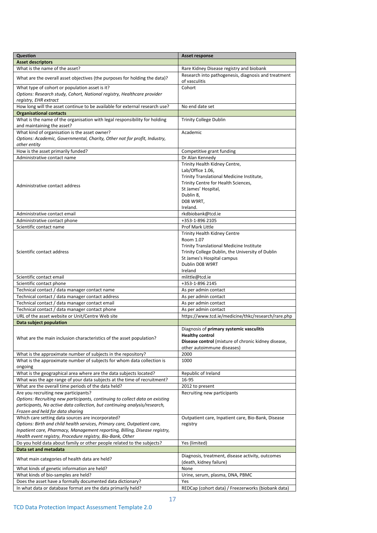| <b>Question</b>                                                                                                                                        | Asset response                                                       |
|--------------------------------------------------------------------------------------------------------------------------------------------------------|----------------------------------------------------------------------|
| <b>Asset descriptors</b>                                                                                                                               |                                                                      |
| What is the name of the asset?                                                                                                                         | Rare Kidney Disease registry and biobank                             |
| What are the overall asset objectives (the purposes for holding the data)?                                                                             | Research into pathogenesis, diagnosis and treatment<br>of vasculitis |
| What type of cohort or population asset is it?                                                                                                         | Cohort                                                               |
| Options: Research study, Cohort, National registry, Healthcare provider<br>registry, EHR extract                                                       |                                                                      |
| How long will the asset continue to be available for external research use?                                                                            | No end date set                                                      |
| <b>Organisational contacts</b>                                                                                                                         |                                                                      |
| What is the name of the organisation with legal responsibility for holding<br>and maintaining the asset?                                               | <b>Trinity College Dublin</b>                                        |
| What kind of organisation is the asset owner?                                                                                                          | Academic                                                             |
| Options: Academic, Governmental, Charity, Other not for profit, Industry,<br>other entity                                                              |                                                                      |
| How is the asset primarily funded?                                                                                                                     | Competitive grant funding                                            |
| Administrative contact name                                                                                                                            | Dr Alan Kennedy                                                      |
|                                                                                                                                                        | Trinity Health Kidney Centre,                                        |
|                                                                                                                                                        | Lab/Office 1.06,                                                     |
|                                                                                                                                                        | Trinity Translational Medicine Institute,                            |
| Administrative contact address                                                                                                                         | Trinity Centre for Health Sciences,                                  |
|                                                                                                                                                        | St James' Hospital,                                                  |
|                                                                                                                                                        | Dublin 8,<br>D08 W9RT,                                               |
|                                                                                                                                                        | Ireland.                                                             |
| Administrative contact email                                                                                                                           | rkdbiobank@tcd.ie                                                    |
| Administrative contact phone                                                                                                                           | +353-1-896 2105                                                      |
| Scientific contact name                                                                                                                                | Prof Mark Little                                                     |
|                                                                                                                                                        | <b>Trinity Health Kidney Centre</b>                                  |
|                                                                                                                                                        | Room 1.07                                                            |
|                                                                                                                                                        | <b>Trinity Translational Medicine Institute</b>                      |
| Scientific contact address                                                                                                                             | Trinity College Dublin, the University of Dublin                     |
|                                                                                                                                                        | St James's Hospital campus                                           |
|                                                                                                                                                        | Dublin D08 W9RT                                                      |
|                                                                                                                                                        | Ireland                                                              |
| Scientific contact email                                                                                                                               | mlittle@tcd.ie                                                       |
| Scientific contact phone<br>Technical contact / data manager contact name                                                                              | +353-1-896 2145<br>As per admin contact                              |
| Technical contact / data manager contact address                                                                                                       | As per admin contact                                                 |
| Technical contact / data manager contact email                                                                                                         | As per admin contact                                                 |
| Technical contact / data manager contact phone                                                                                                         | As per admin contact                                                 |
| URL of the asset website or Unit/Centre Web site                                                                                                       | https://www.tcd.ie/medicine/thkc/research/rare.php                   |
| Data subject population                                                                                                                                |                                                                      |
|                                                                                                                                                        | Diagnosis of primary systemic vasculitis                             |
|                                                                                                                                                        | <b>Healthy control</b>                                               |
| What are the main inclusion characteristics of the asset population?                                                                                   | Disease control (mixture of chronic kidney disease,                  |
|                                                                                                                                                        | other autoimmune diseases)                                           |
| What is the approximate number of subjects in the repository?                                                                                          | 2000                                                                 |
| What is the approximate number of subjects for whom data collection is<br>ongoing                                                                      | 1000                                                                 |
| What is the geographical area where are the data subjects located?                                                                                     | Republic of Ireland                                                  |
| What was the age range of your data subjects at the time of recruitment?                                                                               | 16-95                                                                |
| What are the overall time periods of the data held?                                                                                                    | 2012 to present                                                      |
| Are you recruiting new participants?                                                                                                                   | Recruiting new participants                                          |
| Options: Recruiting new participants, continuing to collect data on existing                                                                           |                                                                      |
| participants, No active data collection, but continuing analysis/research,                                                                             |                                                                      |
| Frozen and held for data sharing                                                                                                                       |                                                                      |
| Which care setting data sources are incorporated?                                                                                                      | Outpatient care, Inpatient care, Bio-Bank, Disease                   |
| Options: Birth and child health services, Primary care, Outpatient care,<br>Inpatient care, Pharmacy, Management reporting, Billing, Disease registry, | registry                                                             |
|                                                                                                                                                        |                                                                      |
| Health event registry, Procedure registry, Bio-Bank, Other<br>Do you hold data about family or other people related to the subjects?                   | Yes (limited)                                                        |
| Data set and metadata                                                                                                                                  |                                                                      |
|                                                                                                                                                        | Diagnosis, treatment, disease activity, outcomes                     |
| What main categories of health data are held?                                                                                                          | (death, kidney failure)                                              |
| What kinds of genetic information are held?                                                                                                            | None                                                                 |
| What kinds of bio-samples are held?                                                                                                                    | Urine, serum, plasma, DNA, PBMC                                      |
| Does the asset have a formally documented data dictionary?                                                                                             | Yes                                                                  |
| In what data or database format are the data primarily held?                                                                                           | REDCap (cohort data) / Freezerworks (biobank data)                   |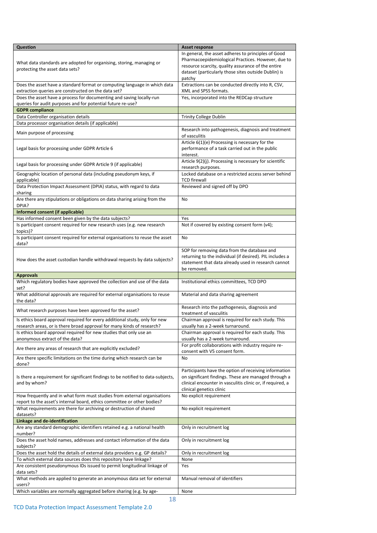| <b>Question</b>                                                                                                                                      | Asset response                                                                                                                                                                |
|------------------------------------------------------------------------------------------------------------------------------------------------------|-------------------------------------------------------------------------------------------------------------------------------------------------------------------------------|
|                                                                                                                                                      | In general, the asset adheres to principles of Good                                                                                                                           |
| What data standards are adopted for organising, storing, managing or                                                                                 | Pharmacoepidemiological Practices. However, due to<br>resource scarcity, quality assurance of the entire                                                                      |
| protecting the asset data sets?                                                                                                                      | dataset (particularly those sites outside Dublin) is                                                                                                                          |
|                                                                                                                                                      | patchy                                                                                                                                                                        |
| Does the asset have a standard format or computing language in which data<br>extraction queries are constructed on the data set?                     | Extractions can be conducted directly into R, CSV,<br>XML and SPSS formats.                                                                                                   |
| Does the asset have a process for documenting and saving locally-run                                                                                 | Yes, incorporated into the REDCap structure                                                                                                                                   |
| queries for audit purposes and for potential future re-use?<br><b>GDPR</b> compliance                                                                |                                                                                                                                                                               |
| Data Controller organisation details                                                                                                                 | <b>Trinity College Dublin</b>                                                                                                                                                 |
| Data processor organisation details (if applicable)                                                                                                  |                                                                                                                                                                               |
| Main purpose of processing                                                                                                                           | Research into pathogenesis, diagnosis and treatment<br>of vasculitis                                                                                                          |
| Legal basis for processing under GDPR Article 6                                                                                                      | Article 6(1)(e) Processing is necessary for the<br>performance of a task carried out in the public<br>interest.                                                               |
| Legal basis for processing under GDPR Article 9 (if applicable)                                                                                      | Article 9(2)(j). Processing is necessary for scientific<br>research purposes.                                                                                                 |
| Geographic location of personal data (including pseudonym keys, if<br>applicable)                                                                    | Locked database on a restricted access server behind<br>TCD firewall                                                                                                          |
| Data Protection Impact Assessment (DPIA) status, with regard to data<br>sharing                                                                      | Reviewed and signed off by DPO                                                                                                                                                |
| Are there any stipulations or obligations on data sharing arising from the<br>DPIA?                                                                  | No                                                                                                                                                                            |
| Informed consent (if applicable)                                                                                                                     |                                                                                                                                                                               |
| Has informed consent been given by the data subjects?                                                                                                | Yes                                                                                                                                                                           |
| Is participant consent required for new research uses (e.g. new research<br>topics)?                                                                 | Not if covered by existing consent form (v4);                                                                                                                                 |
| Is participant consent required for external organisations to reuse the asset<br>data?                                                               | No                                                                                                                                                                            |
| How does the asset custodian handle withdrawal requests by data subjects?                                                                            | SOP for removing data from the database and<br>returning to the individual (if desired). PIL includes a<br>statement that data already used in research cannot<br>be removed. |
| <b>Approvals</b>                                                                                                                                     |                                                                                                                                                                               |
|                                                                                                                                                      |                                                                                                                                                                               |
| Which regulatory bodies have approved the collection and use of the data<br>set?                                                                     | Institutional ethics committees, TCD DPO                                                                                                                                      |
| What additional approvals are required for external organisations to reuse<br>the data?                                                              | Material and data sharing agreement                                                                                                                                           |
| What research purposes have been approved for the asset?                                                                                             | Research into the pathogenesis, diagnosis and<br>treatment of vasculitis                                                                                                      |
| Is ethics board approval required for every additional study, only for new<br>research areas, or is there broad approval for many kinds of research? | Chairman approval is required for each study. This<br>usually has a 2-week turnaround.                                                                                        |
| Is ethics board approval required for new studies that only use an<br>anonymous extract of the data?                                                 | Chairman approval is required for each study. This<br>usually has a 2-week turnaround.                                                                                        |
| Are there any areas of research that are explicitly excluded?                                                                                        | For profit collaborations with industry require re-<br>consent with V5 consent form.                                                                                          |
| Are there specific limitations on the time during which research can be<br>done?                                                                     | No                                                                                                                                                                            |
| Is there a requirement for significant findings to be notified to data-subjects,<br>and by whom?                                                     | Participants have the option of receiving information<br>on significant findings. These are managed through a<br>clinical encounter in vasculitis clinic or, if required, a   |
| How frequently and in what form must studies from external organisations                                                                             | clinical genetics clinic<br>No explicit requirement                                                                                                                           |
| report to the asset's internal board, ethics committee or other bodies?<br>What requirements are there for archiving or destruction of shared        | No explicit requirement                                                                                                                                                       |
| datasets?<br>Linkage and de-identification                                                                                                           |                                                                                                                                                                               |
| Are any standard demographic identifiers retained e.g. a national health                                                                             | Only in recruitment log                                                                                                                                                       |
| number?<br>Does the asset hold names, addresses and contact information of the data                                                                  | Only in recruitment log                                                                                                                                                       |
| subjects?                                                                                                                                            |                                                                                                                                                                               |
| Does the asset hold the details of external data providers e.g. GP details?                                                                          | Only in recruitment log                                                                                                                                                       |
| To which external data sources does this repository have linkage?<br>Are consistent pseudonymous IDs issued to permit longitudinal linkage of        | None<br>Yes                                                                                                                                                                   |
| data sets?<br>What methods are applied to generate an anonymous data set for external<br>users?                                                      | Manual removal of identifiers                                                                                                                                                 |